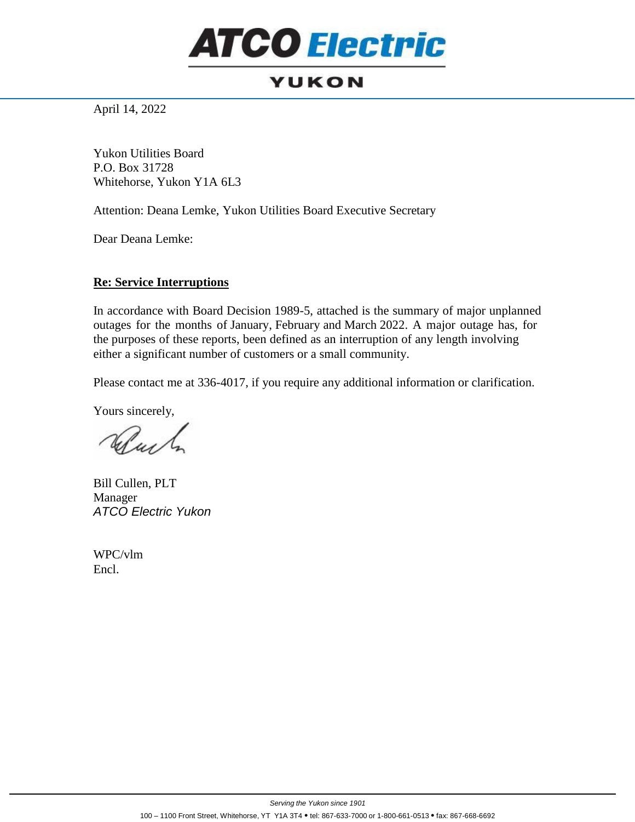## **ATCO Electric**

## **YUKON**

April 14, 2022

Yukon Utilities Board P.O. Box 31728 Whitehorse, Yukon Y1A 6L3

Attention: Deana Lemke, Yukon Utilities Board Executive Secretary

Dear Deana Lemke:

## **Re: Service Interruptions**

In accordance with Board Decision 1989-5, attached is the summary of major unplanned outages for the months of January, February and March 2022. A major outage has, for the purposes of these reports, been defined as an interruption of any length involving either a significant number of customers or a small community.

Please contact me at 336-4017, if you require any additional information or clarification.

Yours sincerely,

When h

Bill Cullen, PLT Manager *ATCO Electric Yukon*

WPC/vlm Encl.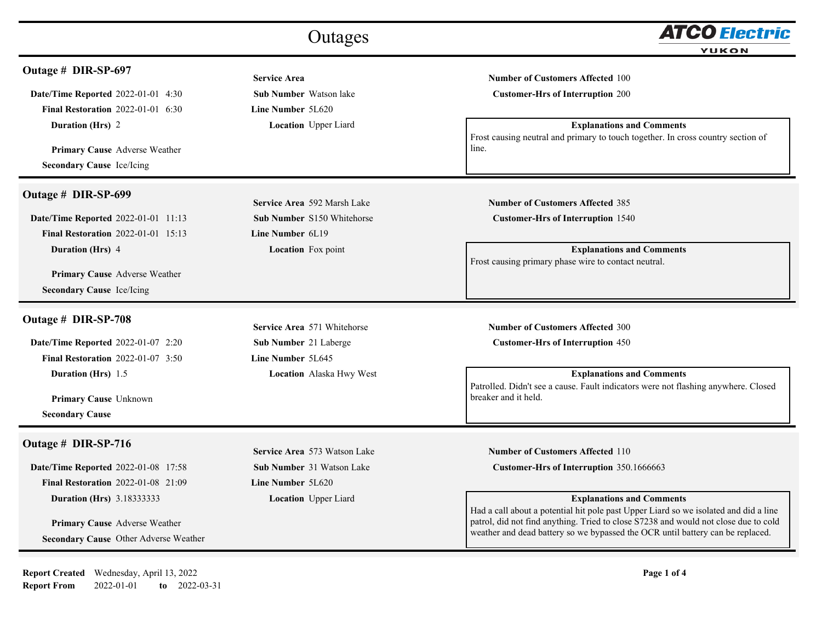| Outages                                                |                                   | ATCO Electric                                                                                              |  |
|--------------------------------------------------------|-----------------------------------|------------------------------------------------------------------------------------------------------------|--|
|                                                        |                                   | <b>YUKON</b>                                                                                               |  |
| Outage # DIR-SP-697                                    | <b>Service Area</b>               | <b>Number of Customers Affected 100</b>                                                                    |  |
| <b>Date/Time Reported 2022-01-01 4:30</b>              | <b>Sub Number</b> Watson lake     | <b>Customer-Hrs of Interruption 200</b>                                                                    |  |
| <b>Final Restoration 2022-01-01 6:30</b>               | <b>Line Number 5L620</b>          |                                                                                                            |  |
| Duration (Hrs) 2                                       | <b>Location</b> Upper Liard       | <b>Explanations and Comments</b>                                                                           |  |
|                                                        |                                   | Frost causing neutral and primary to touch together. In cross country section of                           |  |
| Primary Cause Adverse Weather                          |                                   | line.                                                                                                      |  |
| <b>Secondary Cause Ice/Icing</b>                       |                                   |                                                                                                            |  |
| Outage # DIR-SP-699                                    |                                   |                                                                                                            |  |
|                                                        | Service Area 592 Marsh Lake       | <b>Number of Customers Affected 385</b>                                                                    |  |
| <b>Date/Time Reported 2022-01-01 11:13</b>             | <b>Sub Number S150 Whitehorse</b> | <b>Customer-Hrs of Interruption 1540</b>                                                                   |  |
| <b>Final Restoration 2022-01-01 15:13</b>              | Line Number 6L19                  |                                                                                                            |  |
| Duration (Hrs) 4                                       | <b>Location</b> Fox point         | <b>Explanations and Comments</b><br>Frost causing primary phase wire to contact neutral.                   |  |
| <b>Primary Cause Adverse Weather</b>                   |                                   |                                                                                                            |  |
| <b>Secondary Cause Ice/Icing</b>                       |                                   |                                                                                                            |  |
|                                                        |                                   |                                                                                                            |  |
| Outage # DIR-SP-708                                    | Service Area 571 Whitehorse       | <b>Number of Customers Affected 300</b>                                                                    |  |
| <b>Date/Time Reported 2022-01-07 2:20</b>              | <b>Sub Number</b> 21 Laberge      | <b>Customer-Hrs of Interruption 450</b>                                                                    |  |
| <b>Final Restoration 2022-01-07 3:50</b>               | Line Number 5L645                 |                                                                                                            |  |
| <b>Duration (Hrs)</b> 1.5                              | <b>Location</b> Alaska Hwy West   | <b>Explanations and Comments</b>                                                                           |  |
|                                                        |                                   | Patrolled. Didn't see a cause. Fault indicators were not flashing anywhere. Closed<br>breaker and it held. |  |
| <b>Primary Cause Unknown</b><br><b>Secondary Cause</b> |                                   |                                                                                                            |  |
|                                                        |                                   |                                                                                                            |  |
| Outage # DIR-SP-716                                    | Service Area 573 Watson Lake      | <b>Number of Customers Affected 110</b>                                                                    |  |
| <b>Date/Time Reported 2022-01-08 17:58</b>             | <b>Sub Number 31 Watson Lake</b>  | Customer-Hrs of Interruption 350.1666663                                                                   |  |
| <b>Final Restoration 2022-01-08 21:09</b>              | Line Number 5L620                 |                                                                                                            |  |
| <b>Duration (Hrs)</b> 3.18333333                       | <b>Location</b> Upper Liard       | <b>Explanations and Comments</b>                                                                           |  |
|                                                        |                                   | Had a call about a potential hit pole past Upper Liard so we isolated and did a line                       |  |
| Primary Cause Adverse Weather                          |                                   | patrol, did not find anything. Tried to close S7238 and would not close due to cold                        |  |
| Secondary Cause Other Adverse Weather                  |                                   | weather and dead battery so we bypassed the OCR until battery can be replaced.                             |  |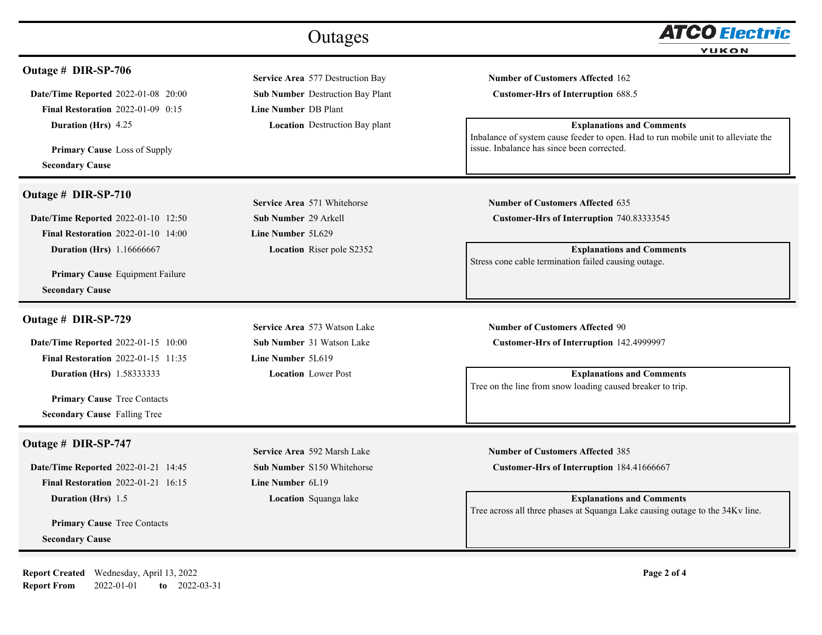| Outage # DIR-SP-706<br>Service Area 577 Destruction Bay<br><b>Number of Customers Affected 162</b><br>Date/Time Reported 2022-01-08 20:00<br>Sub Number Destruction Bay Plant<br><b>Customer-Hrs of Interruption 688.5</b><br><b>Final Restoration 2022-01-09 0:15</b><br><b>Line Number DB Plant</b><br><b>Explanations and Comments</b><br>Duration (Hrs) 4.25<br><b>Location</b> Destruction Bay plant<br>issue. Inbalance has since been corrected.<br><b>Primary Cause</b> Loss of Supply<br><b>Secondary Cause</b><br>Outage # DIR-SP-710<br>Service Area 571 Whitehorse<br><b>Number of Customers Affected 635</b><br>Date/Time Reported 2022-01-10 12:50<br><b>Sub Number 29 Arkell</b><br>Customer-Hrs of Interruption 740.83333545<br><b>Final Restoration 2022-01-10 14:00</b><br>Line Number 5L629<br><b>Duration (Hrs)</b> 1.16666667<br><b>Location</b> Riser pole S2352<br><b>Explanations and Comments</b><br>Stress cone cable termination failed causing outage.<br><b>Primary Cause</b> Equipment Failure<br><b>Secondary Cause</b><br>Outage # DIR-SP-729<br>Service Area 573 Watson Lake<br><b>Number of Customers Affected 90</b><br>Date/Time Reported 2022-01-15 10:00<br><b>Sub Number 31 Watson Lake</b><br>Customer-Hrs of Interruption 142.4999997<br><b>Final Restoration 2022-01-15 11:35</b><br>Line Number 5L619<br><b>Explanations and Comments</b><br><b>Location</b> Lower Post<br><b>Duration (Hrs)</b> 1.58333333<br>Tree on the line from snow loading caused breaker to trip.<br><b>Primary Cause Tree Contacts</b><br><b>Secondary Cause Falling Tree</b><br>Outage # DIR-SP-747<br>Service Area 592 Marsh Lake<br><b>Number of Customers Affected 385</b><br>Date/Time Reported 2022-01-21 14:45<br><b>Sub Number S150 Whitehorse</b><br>Customer-Hrs of Interruption 184.41666667 |                                           | Outages          | ATCO Electric<br><b>YUKON</b>                                                     |
|-----------------------------------------------------------------------------------------------------------------------------------------------------------------------------------------------------------------------------------------------------------------------------------------------------------------------------------------------------------------------------------------------------------------------------------------------------------------------------------------------------------------------------------------------------------------------------------------------------------------------------------------------------------------------------------------------------------------------------------------------------------------------------------------------------------------------------------------------------------------------------------------------------------------------------------------------------------------------------------------------------------------------------------------------------------------------------------------------------------------------------------------------------------------------------------------------------------------------------------------------------------------------------------------------------------------------------------------------------------------------------------------------------------------------------------------------------------------------------------------------------------------------------------------------------------------------------------------------------------------------------------------------------------------------------------------------------------------------------------------------------------------------------------------------------------------------------|-------------------------------------------|------------------|-----------------------------------------------------------------------------------|
|                                                                                                                                                                                                                                                                                                                                                                                                                                                                                                                                                                                                                                                                                                                                                                                                                                                                                                                                                                                                                                                                                                                                                                                                                                                                                                                                                                                                                                                                                                                                                                                                                                                                                                                                                                                                                             |                                           |                  |                                                                                   |
|                                                                                                                                                                                                                                                                                                                                                                                                                                                                                                                                                                                                                                                                                                                                                                                                                                                                                                                                                                                                                                                                                                                                                                                                                                                                                                                                                                                                                                                                                                                                                                                                                                                                                                                                                                                                                             |                                           |                  |                                                                                   |
|                                                                                                                                                                                                                                                                                                                                                                                                                                                                                                                                                                                                                                                                                                                                                                                                                                                                                                                                                                                                                                                                                                                                                                                                                                                                                                                                                                                                                                                                                                                                                                                                                                                                                                                                                                                                                             |                                           |                  | Inbalance of system cause feeder to open. Had to run mobile unit to alleviate the |
|                                                                                                                                                                                                                                                                                                                                                                                                                                                                                                                                                                                                                                                                                                                                                                                                                                                                                                                                                                                                                                                                                                                                                                                                                                                                                                                                                                                                                                                                                                                                                                                                                                                                                                                                                                                                                             |                                           |                  |                                                                                   |
|                                                                                                                                                                                                                                                                                                                                                                                                                                                                                                                                                                                                                                                                                                                                                                                                                                                                                                                                                                                                                                                                                                                                                                                                                                                                                                                                                                                                                                                                                                                                                                                                                                                                                                                                                                                                                             |                                           |                  |                                                                                   |
|                                                                                                                                                                                                                                                                                                                                                                                                                                                                                                                                                                                                                                                                                                                                                                                                                                                                                                                                                                                                                                                                                                                                                                                                                                                                                                                                                                                                                                                                                                                                                                                                                                                                                                                                                                                                                             |                                           |                  |                                                                                   |
|                                                                                                                                                                                                                                                                                                                                                                                                                                                                                                                                                                                                                                                                                                                                                                                                                                                                                                                                                                                                                                                                                                                                                                                                                                                                                                                                                                                                                                                                                                                                                                                                                                                                                                                                                                                                                             |                                           |                  |                                                                                   |
|                                                                                                                                                                                                                                                                                                                                                                                                                                                                                                                                                                                                                                                                                                                                                                                                                                                                                                                                                                                                                                                                                                                                                                                                                                                                                                                                                                                                                                                                                                                                                                                                                                                                                                                                                                                                                             |                                           |                  |                                                                                   |
|                                                                                                                                                                                                                                                                                                                                                                                                                                                                                                                                                                                                                                                                                                                                                                                                                                                                                                                                                                                                                                                                                                                                                                                                                                                                                                                                                                                                                                                                                                                                                                                                                                                                                                                                                                                                                             |                                           |                  |                                                                                   |
|                                                                                                                                                                                                                                                                                                                                                                                                                                                                                                                                                                                                                                                                                                                                                                                                                                                                                                                                                                                                                                                                                                                                                                                                                                                                                                                                                                                                                                                                                                                                                                                                                                                                                                                                                                                                                             |                                           |                  |                                                                                   |
|                                                                                                                                                                                                                                                                                                                                                                                                                                                                                                                                                                                                                                                                                                                                                                                                                                                                                                                                                                                                                                                                                                                                                                                                                                                                                                                                                                                                                                                                                                                                                                                                                                                                                                                                                                                                                             |                                           |                  |                                                                                   |
|                                                                                                                                                                                                                                                                                                                                                                                                                                                                                                                                                                                                                                                                                                                                                                                                                                                                                                                                                                                                                                                                                                                                                                                                                                                                                                                                                                                                                                                                                                                                                                                                                                                                                                                                                                                                                             |                                           |                  |                                                                                   |
|                                                                                                                                                                                                                                                                                                                                                                                                                                                                                                                                                                                                                                                                                                                                                                                                                                                                                                                                                                                                                                                                                                                                                                                                                                                                                                                                                                                                                                                                                                                                                                                                                                                                                                                                                                                                                             |                                           |                  |                                                                                   |
|                                                                                                                                                                                                                                                                                                                                                                                                                                                                                                                                                                                                                                                                                                                                                                                                                                                                                                                                                                                                                                                                                                                                                                                                                                                                                                                                                                                                                                                                                                                                                                                                                                                                                                                                                                                                                             |                                           |                  |                                                                                   |
|                                                                                                                                                                                                                                                                                                                                                                                                                                                                                                                                                                                                                                                                                                                                                                                                                                                                                                                                                                                                                                                                                                                                                                                                                                                                                                                                                                                                                                                                                                                                                                                                                                                                                                                                                                                                                             |                                           |                  |                                                                                   |
|                                                                                                                                                                                                                                                                                                                                                                                                                                                                                                                                                                                                                                                                                                                                                                                                                                                                                                                                                                                                                                                                                                                                                                                                                                                                                                                                                                                                                                                                                                                                                                                                                                                                                                                                                                                                                             |                                           |                  |                                                                                   |
|                                                                                                                                                                                                                                                                                                                                                                                                                                                                                                                                                                                                                                                                                                                                                                                                                                                                                                                                                                                                                                                                                                                                                                                                                                                                                                                                                                                                                                                                                                                                                                                                                                                                                                                                                                                                                             |                                           |                  |                                                                                   |
|                                                                                                                                                                                                                                                                                                                                                                                                                                                                                                                                                                                                                                                                                                                                                                                                                                                                                                                                                                                                                                                                                                                                                                                                                                                                                                                                                                                                                                                                                                                                                                                                                                                                                                                                                                                                                             |                                           |                  |                                                                                   |
|                                                                                                                                                                                                                                                                                                                                                                                                                                                                                                                                                                                                                                                                                                                                                                                                                                                                                                                                                                                                                                                                                                                                                                                                                                                                                                                                                                                                                                                                                                                                                                                                                                                                                                                                                                                                                             | <b>Final Restoration 2022-01-21 16:15</b> | Line Number 6L19 |                                                                                   |
| <b>Explanations and Comments</b><br>Location Squanga lake<br><b>Duration (Hrs)</b> 1.5                                                                                                                                                                                                                                                                                                                                                                                                                                                                                                                                                                                                                                                                                                                                                                                                                                                                                                                                                                                                                                                                                                                                                                                                                                                                                                                                                                                                                                                                                                                                                                                                                                                                                                                                      |                                           |                  | Tree across all three phases at Squanga Lake causing outage to the 34Kv line.     |
| <b>Primary Cause Tree Contacts</b>                                                                                                                                                                                                                                                                                                                                                                                                                                                                                                                                                                                                                                                                                                                                                                                                                                                                                                                                                                                                                                                                                                                                                                                                                                                                                                                                                                                                                                                                                                                                                                                                                                                                                                                                                                                          |                                           |                  |                                                                                   |
| <b>Secondary Cause</b>                                                                                                                                                                                                                                                                                                                                                                                                                                                                                                                                                                                                                                                                                                                                                                                                                                                                                                                                                                                                                                                                                                                                                                                                                                                                                                                                                                                                                                                                                                                                                                                                                                                                                                                                                                                                      |                                           |                  |                                                                                   |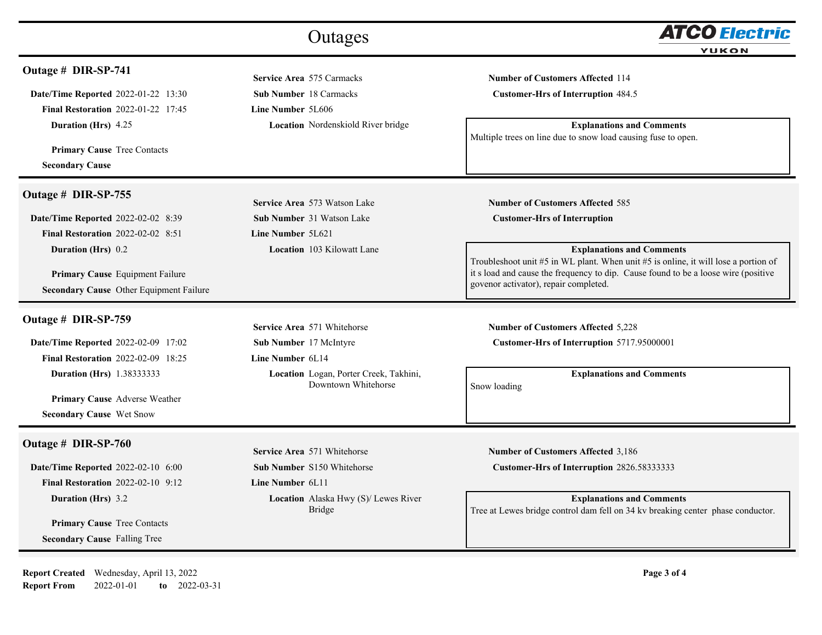|                                                                                                                                                                                                                        | Outages                                                                                                                                    | <b>ATCO Electric</b><br>YUKON                                                                                                                                                                                                                                                                                                            |
|------------------------------------------------------------------------------------------------------------------------------------------------------------------------------------------------------------------------|--------------------------------------------------------------------------------------------------------------------------------------------|------------------------------------------------------------------------------------------------------------------------------------------------------------------------------------------------------------------------------------------------------------------------------------------------------------------------------------------|
| Outage # DIR-SP-741<br>Date/Time Reported 2022-01-22 13:30<br><b>Final Restoration 2022-01-22 17:45</b><br><b>Duration (Hrs)</b> 4.25<br><b>Primary Cause Tree Contacts</b><br><b>Secondary Cause</b>                  | Service Area 575 Carmacks<br><b>Sub Number 18 Carmacks</b><br><b>Line Number 5L606</b><br><b>Location</b> Nordenskiold River bridge        | <b>Number of Customers Affected 114</b><br><b>Customer-Hrs of Interruption 484.5</b><br><b>Explanations and Comments</b><br>Multiple trees on line due to snow load causing fuse to open.                                                                                                                                                |
| Outage # DIR-SP-755<br>Date/Time Reported 2022-02-02 8:39<br><b>Final Restoration 2022-02-02 8:51</b><br><b>Duration (Hrs)</b> 0.2<br>Primary Cause Equipment Failure<br>Secondary Cause Other Equipment Failure       | Service Area 573 Watson Lake<br><b>Sub Number 31 Watson Lake</b><br>Line Number 5L621<br><b>Location</b> 103 Kilowatt Lane                 | <b>Number of Customers Affected 585</b><br><b>Customer-Hrs of Interruption</b><br><b>Explanations and Comments</b><br>Troubleshoot unit #5 in WL plant. When unit #5 is online, it will lose a portion of<br>it s load and cause the frequency to dip. Cause found to be a loose wire (positive<br>govenor activator), repair completed. |
| Outage # DIR-SP-759<br><b>Date/Time Reported 2022-02-09 17:02</b><br><b>Final Restoration 2022-02-09 18:25</b><br><b>Duration (Hrs)</b> 1.38333333<br>Primary Cause Adverse Weather<br><b>Secondary Cause Wet Snow</b> | Service Area 571 Whitehorse<br>Sub Number 17 McIntyre<br>Line Number 6L14<br>Location Logan, Porter Creek, Takhini,<br>Downtown Whitehorse | <b>Number of Customers Affected 5,228</b><br>Customer-Hrs of Interruption 5717.95000001<br><b>Explanations and Comments</b><br>Snow loading                                                                                                                                                                                              |
| Outage # DIR-SP-760<br>Date/Time Reported 2022-02-10 6:00<br>Final Restoration 2022-02-10 9:12<br><b>Duration (Hrs)</b> 3.2<br><b>Primary Cause Tree Contacts</b><br><b>Secondary Cause Falling Tree</b>               | Service Area 571 Whitehorse<br>Sub Number S150 Whitehorse<br>Line Number 6L11<br>Location Alaska Hwy (S)/ Lewes River<br>Bridge            | <b>Number of Customers Affected 3,186</b><br>Customer-Hrs of Interruption 2826.58333333<br><b>Explanations and Comments</b><br>Tree at Lewes bridge control dam fell on 34 kv breaking center phase conductor.                                                                                                                           |